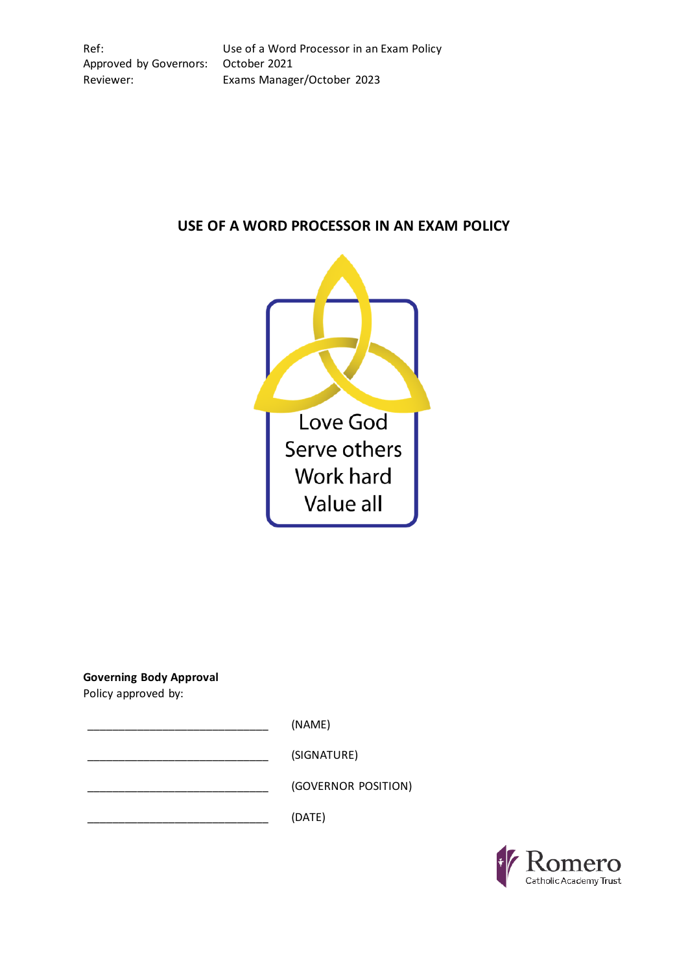Ref: Use of a Word Processor in an Exam Policy Approved by Governors: October 2021 Reviewer: Exams Manager/October 2023

# **USE OF A WORD PROCESSOR IN AN EXAM POLICY**



**Governing Body Approval**

Policy approved by:

\_\_\_\_\_\_\_\_\_\_\_\_\_\_\_\_\_\_\_\_\_\_\_\_\_\_\_\_\_ (NAME)

\_\_\_\_\_\_\_\_\_\_\_\_\_\_\_\_\_\_\_\_\_\_\_\_\_\_\_\_\_ (SIGNATURE)

\_\_\_\_\_\_\_\_\_\_\_\_\_\_\_\_\_\_\_\_\_\_\_\_\_\_\_\_\_ (GOVERNOR POSITION)

 $(DATE)$ 

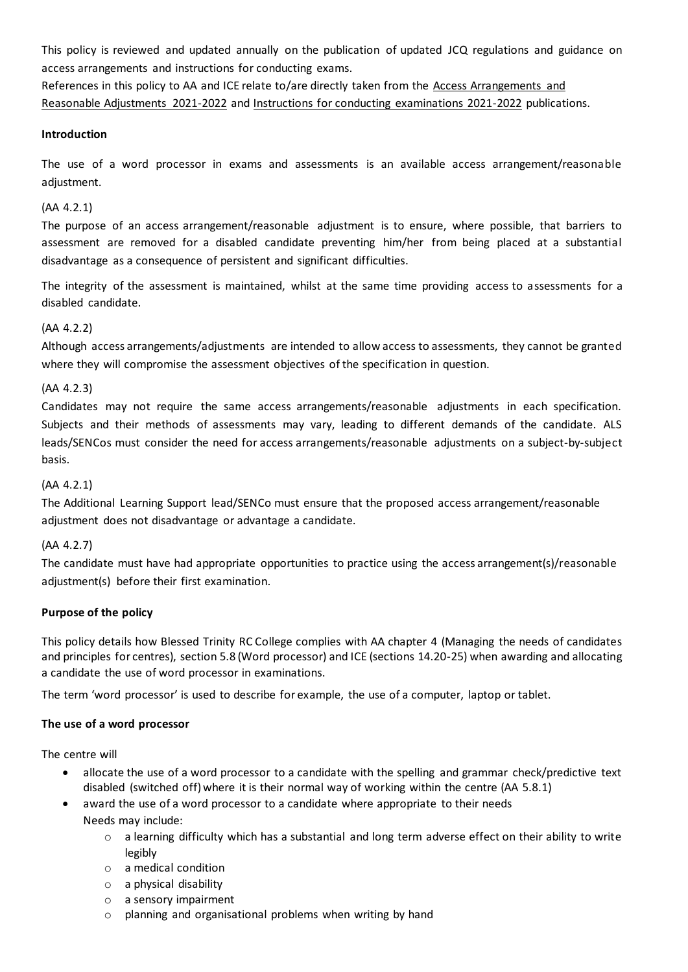This policy is reviewed and updated annually on the publication of updated JCQ regulations and guidance on access arrangements and instructions for conducting exams.

References in this policy to AA and ICE relate to/are directly taken from the [Access Arrangements and](http://www.jcq.org.uk/exams-office/access-arrangements-and-special-consideration/regulations-and-guidance)  [Reasonable Adjustments 2021-2022](http://www.jcq.org.uk/exams-office/access-arrangements-and-special-consideration/regulations-and-guidance) and [Instructions for conducting examinations 2021-2022](http://www.jcq.org.uk/exams-office/ice---instructions-for-conducting-examinations) publications.

#### **Introduction**

The use of a word processor in exams and assessments is an available access arrangement/reasonable adjustment.

#### (AA 4.2.1)

The purpose of an access arrangement/reasonable adjustment is to ensure, where possible, that barriers to assessment are removed for a disabled candidate preventing him/her from being placed at a substantial disadvantage as a consequence of persistent and significant difficulties.

The integrity of the assessment is maintained, whilst at the same time providing access to assessments for a disabled candidate.

## (AA 4.2.2)

Although access arrangements/adjustments are intended to allow access to assessments, they cannot be granted where they will compromise the assessment objectives of the specification in question.

#### (AA 4.2.3)

Candidates may not require the same access arrangements/reasonable adjustments in each specification. Subjects and their methods of assessments may vary, leading to different demands of the candidate. ALS leads/SENCos must consider the need for access arrangements/reasonable adjustments on a subject-by-subject basis.

#### (AA 4.2.1)

The Additional Learning Support lead/SENCo must ensure that the proposed access arrangement/reasonable adjustment does not disadvantage or advantage a candidate.

## (AA 4.2.7)

The candidate must have had appropriate opportunities to practice using the access arrangement(s)/reasonable adjustment(s) before their first examination.

## **Purpose of the policy**

This policy details how Blessed Trinity RC College complies with AA chapter 4 (Managing the needs of candidates and principles for centres), section 5.8 (Word processor) and ICE (sections 14.20-25) when awarding and allocating a candidate the use of word processor in examinations.

The term 'word processor' is used to describe for example, the use of a computer, laptop or tablet.

#### **The use of a word processor**

The centre will

- allocate the use of a word processor to a candidate with the spelling and grammar check/predictive text disabled (switched off) where it is their normal way of working within the centre (AA 5.8.1)
	- award the use of a word processor to a candidate where appropriate to their needs Needs may include:
		- $\circ$  a learning difficulty which has a substantial and long term adverse effect on their ability to write legibly
		- o a medical condition
		- o a physical disability
		- o a sensory impairment
		- o planning and organisational problems when writing by hand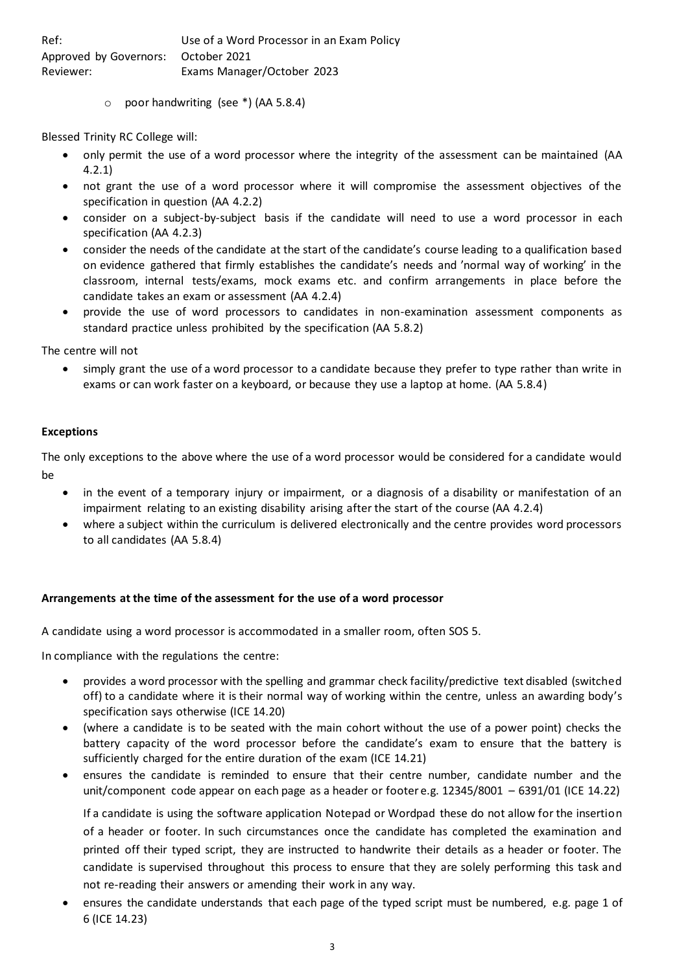| Ref:                                | Use of a Word Processor in an Exam Policy |
|-------------------------------------|-------------------------------------------|
| Approved by Governors: October 2021 |                                           |
| Reviewer:                           | Exams Manager/October 2023                |

o poor handwriting (see \*) (AA 5.8.4)

Blessed Trinity RC College will:

- only permit the use of a word processor where the integrity of the assessment can be maintained (AA 4.2.1)
- not grant the use of a word processor where it will compromise the assessment objectives of the specification in question (AA 4.2.2)
- consider on a subject-by-subject basis if the candidate will need to use a word processor in each specification (AA 4.2.3)
- consider the needs of the candidate at the start of the candidate's course leading to a qualification based on evidence gathered that firmly establishes the candidate's needs and 'normal way of working' in the classroom, internal tests/exams, mock exams etc. and confirm arrangements in place before the candidate takes an exam or assessment (AA 4.2.4)
- provide the use of word processors to candidates in non-examination assessment components as standard practice unless prohibited by the specification (AA 5.8.2)

The centre will not

• simply grant the use of a word processor to a candidate because they prefer to type rather than write in exams or can work faster on a keyboard, or because they use a laptop at home. (AA 5.8.4)

#### **Exceptions**

The only exceptions to the above where the use of a word processor would be considered for a candidate would be

- in the event of a temporary injury or impairment, or a diagnosis of a disability or manifestation of an impairment relating to an existing disability arising after the start of the course (AA 4.2.4)
- where a subject within the curriculum is delivered electronically and the centre provides word processors to all candidates (AA 5.8.4)

#### **Arrangements at the time of the assessment for the use of a word processor**

A candidate using a word processor is accommodated in a smaller room, often SOS 5.

In compliance with the regulations the centre:

- provides a word processor with the spelling and grammar check facility/predictive text disabled (switched off) to a candidate where it is their normal way of working within the centre, unless an awarding body's specification says otherwise (ICE 14.20)
- (where a candidate is to be seated with the main cohort without the use of a power point) checks the battery capacity of the word processor before the candidate's exam to ensure that the battery is sufficiently charged for the entire duration of the exam (ICE 14.21)
- ensures the candidate is reminded to ensure that their centre number, candidate number and the unit/component code appear on each page as a header or footer e.g. 12345/8001 – 6391/01 (ICE 14.22)

If a candidate is using the software application Notepad or Wordpad these do not allow for the insertion of a header or footer. In such circumstances once the candidate has completed the examination and printed off their typed script, they are instructed to handwrite their details as a header or footer. The candidate is supervised throughout this process to ensure that they are solely performing this task and not re-reading their answers or amending their work in any way.

• ensures the candidate understands that each page of the typed script must be numbered, e.g. page 1 of 6 (ICE 14.23)